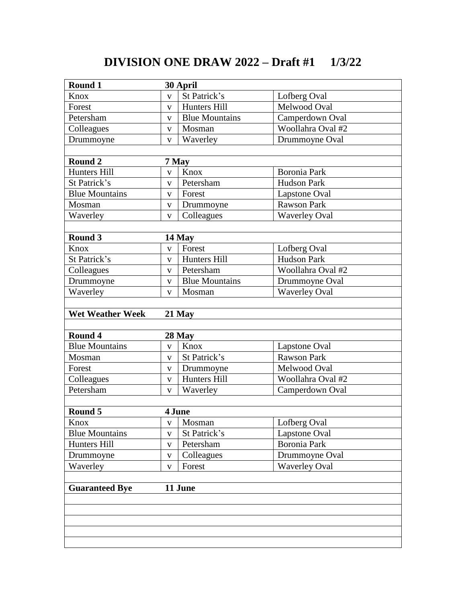## **DIVISION ONE DRAW 2022 – Draft #1 1/3/22**

| Round 1                          | 30 April                |                       |                      |  |  |
|----------------------------------|-------------------------|-----------------------|----------------------|--|--|
| Knox                             | $\overline{\mathbf{V}}$ | St Patrick's          | Lofberg Oval         |  |  |
| Forest                           | $\mathbf{V}$            | Hunters Hill          | Melwood Oval         |  |  |
| Petersham                        | $\mathbf{V}$            | <b>Blue Mountains</b> | Camperdown Oval      |  |  |
| Colleagues                       | $\mathbf{V}$            | Mosman                | Woollahra Oval #2    |  |  |
| Drummoyne                        | $\mathbf{V}$            | Waverley              | Drummoyne Oval       |  |  |
|                                  |                         |                       |                      |  |  |
| Round 2                          |                         | 7 May                 |                      |  |  |
| <b>Hunters Hill</b>              | $\mathbf{V}$            | Knox                  | <b>Boronia Park</b>  |  |  |
| St Patrick's                     | $\mathbf{V}$            | Petersham             | <b>Hudson Park</b>   |  |  |
| <b>Blue Mountains</b>            | $\mathbf{V}$            | Forest                | Lapstone Oval        |  |  |
| Mosman                           | $\mathbf{V}$            | Drummoyne             | <b>Rawson Park</b>   |  |  |
| Waverley                         | $\mathbf{V}$            | Colleagues            | <b>Waverley Oval</b> |  |  |
|                                  |                         |                       |                      |  |  |
| Round 3                          |                         | 14 May                |                      |  |  |
| Knox                             | $\mathbf{V}$            | Forest                | Lofberg Oval         |  |  |
| St Patrick's                     | $\mathbf{V}$            | Hunters Hill          | <b>Hudson Park</b>   |  |  |
| Colleagues                       | $\mathbf{V}$            | Petersham             | Woollahra Oval #2    |  |  |
| Drummoyne                        | $\mathbf{V}$            | <b>Blue Mountains</b> | Drummoyne Oval       |  |  |
| Waverley                         | $\mathbf{V}$            | Mosman                | <b>Waverley Oval</b> |  |  |
|                                  |                         |                       |                      |  |  |
| <b>Wet Weather Week</b>          |                         | $21$ May              |                      |  |  |
|                                  |                         |                       |                      |  |  |
| Round 4                          |                         | 28 May                |                      |  |  |
| <b>Blue Mountains</b>            | $\mathbf{V}$            | Knox                  | Lapstone Oval        |  |  |
| Mosman                           | $\mathbf{V}$            | St Patrick's          | <b>Rawson Park</b>   |  |  |
| Forest                           | $\mathbf{V}$            | Drummoyne             | Melwood Oval         |  |  |
| Colleagues                       | $\mathbf{V}$            | Hunters Hill          | Woollahra Oval #2    |  |  |
| Petersham                        | $\mathbf{V}$            | Waverley              | Camperdown Oval      |  |  |
|                                  |                         |                       |                      |  |  |
| Round 5                          |                         | 4 June                |                      |  |  |
| Knox                             | V                       | Mosman                | Lofberg Oval         |  |  |
| <b>Blue Mountains</b>            | $\mathbf{V}$            | St Patrick's          | Lapstone Oval        |  |  |
| Hunters Hill                     | V                       | Petersham             | Boronia Park         |  |  |
| Drummoyne                        | $\mathbf{V}$            | Colleagues            | Drummoyne Oval       |  |  |
| Waverley                         | V                       | Forest                | <b>Waverley Oval</b> |  |  |
|                                  |                         |                       |                      |  |  |
| 11 June<br><b>Guaranteed Bye</b> |                         |                       |                      |  |  |
|                                  |                         |                       |                      |  |  |
|                                  |                         |                       |                      |  |  |
|                                  |                         |                       |                      |  |  |
|                                  |                         |                       |                      |  |  |
|                                  |                         |                       |                      |  |  |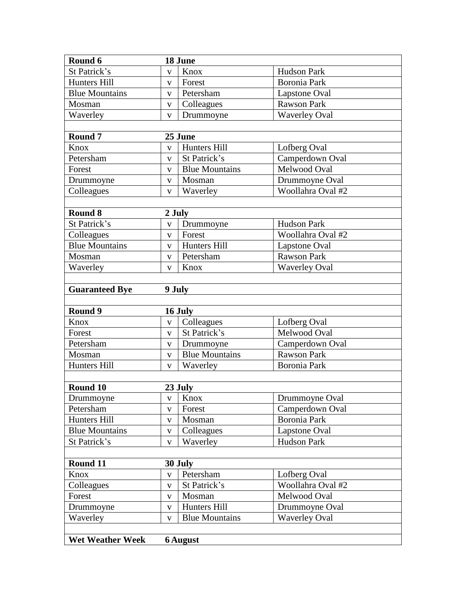| Round 6                 |                         | 18 June               |                      |  |  |  |
|-------------------------|-------------------------|-----------------------|----------------------|--|--|--|
| St Patrick's            | $\mathbf{V}$            | Knox                  | Hudson Park          |  |  |  |
| Hunters Hill            | V                       | Forest                | Boronia Park         |  |  |  |
| <b>Blue Mountains</b>   | $\mathbf{V}$            | Petersham             | Lapstone Oval        |  |  |  |
| Mosman                  | $\mathbf{V}$            | Colleagues            | <b>Rawson Park</b>   |  |  |  |
| Waverley                | $\mathbf{V}$            | Drummoyne             | <b>Waverley Oval</b> |  |  |  |
|                         |                         |                       |                      |  |  |  |
| Round <sub>7</sub>      | 25 June                 |                       |                      |  |  |  |
| Knox                    | $\mathbf{V}$            | Hunters Hill          | Lofberg Oval         |  |  |  |
| Petersham               | $\mathbf{V}$            | St Patrick's          | Camperdown Oval      |  |  |  |
| Forest                  | $\mathbf{V}$            | <b>Blue Mountains</b> | Melwood Oval         |  |  |  |
| Drummoyne               | $\mathbf{V}$            | Mosman                | Drummoyne Oval       |  |  |  |
| Colleagues              | $\mathbf{V}$            | Waverley              | Woollahra Oval #2    |  |  |  |
|                         |                         |                       |                      |  |  |  |
| Round 8                 | 2 July                  |                       |                      |  |  |  |
| St Patrick's            | $\mathbf{V}$            | Drummoyne             | <b>Hudson Park</b>   |  |  |  |
| Colleagues              | $\mathbf{V}$            | Forest                | Woollahra Oval #2    |  |  |  |
| <b>Blue Mountains</b>   | $\mathbf{V}$            | Hunters Hill          | Lapstone Oval        |  |  |  |
| Mosman                  | $\mathbf{V}$            | Petersham             | <b>Rawson Park</b>   |  |  |  |
| Waverley                | V                       | Knox                  | <b>Waverley Oval</b> |  |  |  |
|                         |                         |                       |                      |  |  |  |
| <b>Guaranteed Bye</b>   | 9 July                  |                       |                      |  |  |  |
|                         |                         |                       |                      |  |  |  |
| Round 9                 |                         | 16 July               |                      |  |  |  |
| Knox                    | $\mathbf{V}$            | Colleagues            | Lofberg Oval         |  |  |  |
| Forest                  | $\overline{\mathbf{V}}$ | St Patrick's          | Melwood Oval         |  |  |  |
| Petersham               | $\mathbf{V}$            | Drummoyne             | Camperdown Oval      |  |  |  |
| Mosman                  | $\mathbf{V}$            | <b>Blue Mountains</b> | <b>Rawson Park</b>   |  |  |  |
| Hunters Hill            | V                       | Waverley              | Boronia Park         |  |  |  |
|                         |                         |                       |                      |  |  |  |
| Round 10                | 23 July                 |                       |                      |  |  |  |
| Drummoyne               | $\mathbf V$             | Knox                  | Drummoyne Oval       |  |  |  |
| Petersham               | V                       | Forest                | Camperdown Oval      |  |  |  |
| Hunters Hill            | V                       | Mosman                | Boronia Park         |  |  |  |
| <b>Blue Mountains</b>   | $\mathbf{V}$            | Colleagues            | Lapstone Oval        |  |  |  |
| St Patrick's            | $\mathbf{V}$            | Waverley              | Hudson Park          |  |  |  |
|                         |                         |                       |                      |  |  |  |
| Round 11                |                         | 30 July               |                      |  |  |  |
| Knox                    | $\mathbf{V}$            | Petersham             | Lofberg Oval         |  |  |  |
| Colleagues              | $\mathbf{V}$            | St Patrick's          | Woollahra Oval #2    |  |  |  |
| Forest                  | $\mathbf{V}$            | Mosman                | Melwood Oval         |  |  |  |
| Drummoyne               | $\mathbf{V}$            | Hunters Hill          | Drummoyne Oval       |  |  |  |
| Waverley                | $\mathbf{V}$            | <b>Blue Mountains</b> | <b>Waverley Oval</b> |  |  |  |
|                         |                         |                       |                      |  |  |  |
| <b>Wet Weather Week</b> |                         | <b>6</b> August       |                      |  |  |  |